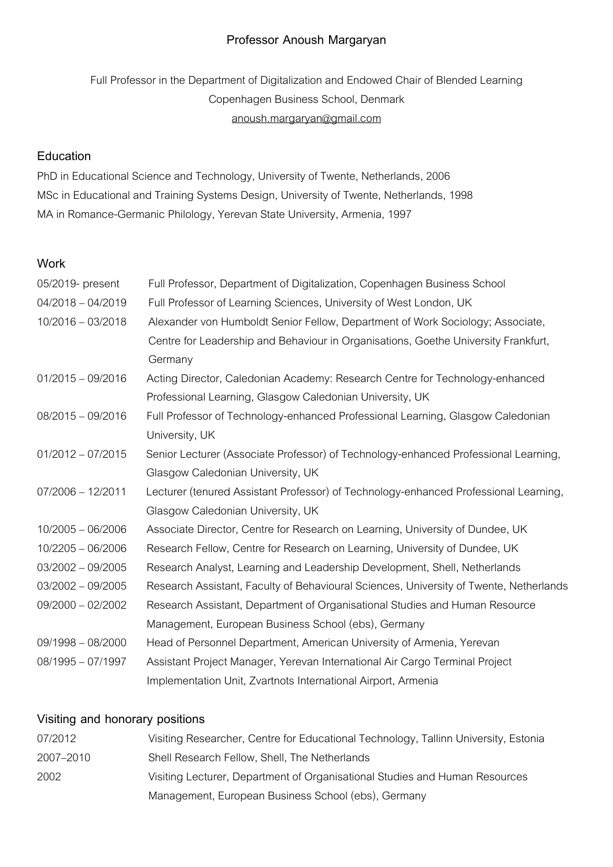# **Professor Anoush Margaryan**

Full Professor in the Department of Digitalization and Endowed Chair of Blended Learning Copenhagen Business School, Denmark anoush.margaryan@gmail.com

#### **Education**

PhD in Educational Science and Technology, University of Twente, Netherlands, 2006 MSc in Educational and Training Systems Design, University of Twente, Netherlands, 1998 MA in Romance-Germanic Philology, Yerevan State University, Armenia,1997

#### **Work**

| 05/2019- present    | Full Professor, Department of Digitalization, Copenhagen Business School               |
|---------------------|----------------------------------------------------------------------------------------|
| $04/2018 - 04/2019$ | Full Professor of Learning Sciences, University of West London, UK                     |
| $10/2016 - 03/2018$ | Alexander von Humboldt Senior Fellow, Department of Work Sociology; Associate,         |
|                     | Centre for Leadership and Behaviour in Organisations, Goethe University Frankfurt,     |
|                     | Germany                                                                                |
| $01/2015 - 09/2016$ | Acting Director, Caledonian Academy: Research Centre for Technology-enhanced           |
|                     | Professional Learning, Glasgow Caledonian University, UK                               |
| $08/2015 - 09/2016$ | Full Professor of Technology-enhanced Professional Learning, Glasgow Caledonian        |
|                     | University, UK                                                                         |
| $01/2012 - 07/2015$ | Senior Lecturer (Associate Professor) of Technology-enhanced Professional Learning,    |
|                     | Glasgow Caledonian University, UK                                                      |
| $07/2006 - 12/2011$ | Lecturer (tenured Assistant Professor) of Technology-enhanced Professional Learning,   |
|                     | Glasgow Caledonian University, UK                                                      |
| $10/2005 - 06/2006$ | Associate Director, Centre for Research on Learning, University of Dundee, UK          |
| $10/2205 - 06/2006$ | Research Fellow, Centre for Research on Learning, University of Dundee, UK             |
| $03/2002 - 09/2005$ | Research Analyst, Learning and Leadership Development, Shell, Netherlands              |
| $03/2002 - 09/2005$ | Research Assistant, Faculty of Behavioural Sciences, University of Twente, Netherlands |
| $09/2000 - 02/2002$ | Research Assistant, Department of Organisational Studies and Human Resource            |
|                     | Management, European Business School (ebs), Germany                                    |
| $09/1998 - 08/2000$ | Head of Personnel Department, American University of Armenia, Yerevan                  |
| $08/1995 - 07/1997$ | Assistant Project Manager, Yerevan International Air Cargo Terminal Project            |
|                     | Implementation Unit, Zvartnots International Airport, Armenia                          |

#### **Visiting and honorary positions**

| 07/2012   | Visiting Researcher, Centre for Educational Technology, Tallinn University, Estonia |
|-----------|-------------------------------------------------------------------------------------|
| 2007–2010 | Shell Research Fellow, Shell, The Netherlands                                       |
| 2002      | Visiting Lecturer, Department of Organisational Studies and Human Resources         |
|           | Management, European Business School (ebs), Germany                                 |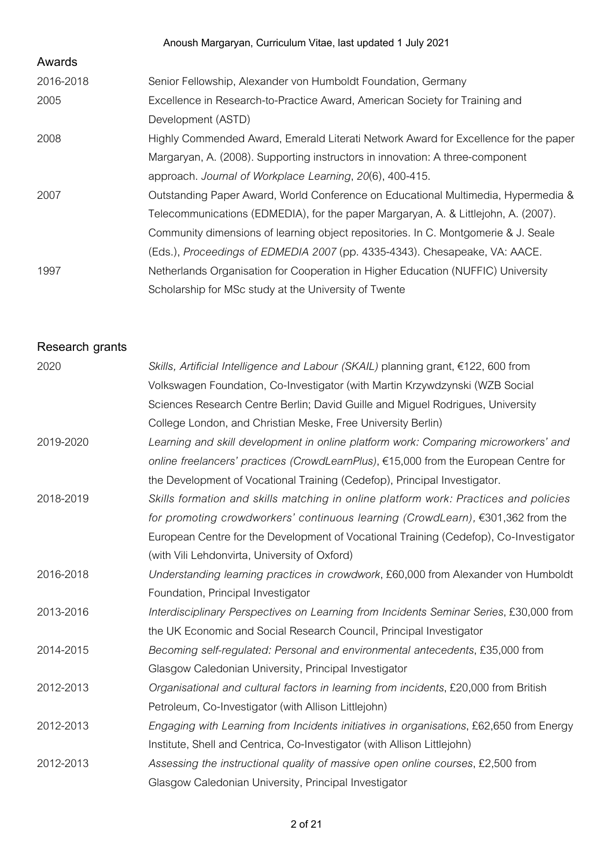|           | Anoush Margaryan, Curriculum Vitae, last updated 1 July 2021                        |
|-----------|-------------------------------------------------------------------------------------|
| Awards    |                                                                                     |
| 2016-2018 | Senior Fellowship, Alexander von Humboldt Foundation, Germany                       |
| 2005      | Excellence in Research-to-Practice Award, American Society for Training and         |
|           | Development (ASTD)                                                                  |
| 2008      | Highly Commended Award, Emerald Literati Network Award for Excellence for the paper |
|           | Margaryan, A. (2008). Supporting instructors in innovation: A three-component       |
|           | approach. Journal of Workplace Learning, 20(6), 400-415.                            |
| 2007      | Outstanding Paper Award, World Conference on Educational Multimedia, Hypermedia &   |
|           | Telecommunications (EDMEDIA), for the paper Margaryan, A. & Littlejohn, A. (2007).  |
|           | Community dimensions of learning object repositories. In C. Montgomerie & J. Seale  |
|           | (Eds.), Proceedings of EDMEDIA 2007 (pp. 4335-4343). Chesapeake, VA: AACE.          |
| 1997      | Netherlands Organisation for Cooperation in Higher Education (NUFFIC) University    |
|           | Scholarship for MSc study at the University of Twente                               |

**Research grants**

| 2020      | Skills, Artificial Intelligence and Labour (SKAIL) planning grant, $\epsilon$ 122, 600 from |
|-----------|---------------------------------------------------------------------------------------------|
|           | Volkswagen Foundation, Co-Investigator (with Martin Krzywdzynski (WZB Social                |
|           | Sciences Research Centre Berlin; David Guille and Miguel Rodrigues, University              |
|           | College London, and Christian Meske, Free University Berlin)                                |
| 2019-2020 | Learning and skill development in online platform work: Comparing microworkers' and         |
|           | online freelancers' practices (CrowdLearnPlus), €15,000 from the European Centre for        |
|           | the Development of Vocational Training (Cedefop), Principal Investigator.                   |
| 2018-2019 | Skills formation and skills matching in online platform work: Practices and policies        |
|           | for promoting crowdworkers' continuous learning (CrowdLearn), €301,362 from the             |
|           | European Centre for the Development of Vocational Training (Cedefop), Co-Investigator       |
|           | (with Vili Lehdonvirta, University of Oxford)                                               |
| 2016-2018 | Understanding learning practices in crowdwork, £60,000 from Alexander von Humboldt          |
|           | Foundation, Principal Investigator                                                          |
| 2013-2016 | Interdisciplinary Perspectives on Learning from Incidents Seminar Series, £30,000 from      |
|           | the UK Economic and Social Research Council, Principal Investigator                         |
| 2014-2015 | Becoming self-regulated: Personal and environmental antecedents, £35,000 from               |
|           | Glasgow Caledonian University, Principal Investigator                                       |
| 2012-2013 | Organisational and cultural factors in learning from incidents, £20,000 from British        |
|           | Petroleum, Co-Investigator (with Allison Littlejohn)                                        |
| 2012-2013 | Engaging with Learning from Incidents initiatives in organisations, £62,650 from Energy     |
|           | Institute, Shell and Centrica, Co-Investigator (with Allison Littlejohn)                    |
| 2012-2013 | Assessing the instructional quality of massive open online courses, £2,500 from             |
|           | Glasgow Caledonian University, Principal Investigator                                       |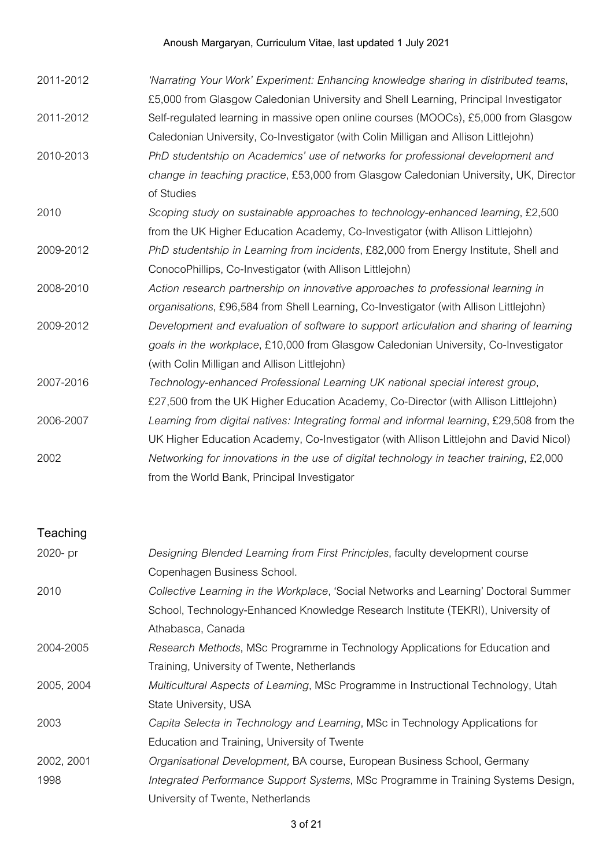# Anoush Margaryan, Curriculum Vitae, last updated 1 July 2021

| 2011-2012 | 'Narrating Your Work' Experiment: Enhancing knowledge sharing in distributed teams,       |
|-----------|-------------------------------------------------------------------------------------------|
|           | £5,000 from Glasgow Caledonian University and Shell Learning, Principal Investigator      |
| 2011-2012 | Self-regulated learning in massive open online courses (MOOCs), £5,000 from Glasgow       |
|           | Caledonian University, Co-Investigator (with Colin Milligan and Allison Littlejohn)       |
| 2010-2013 | PhD studentship on Academics' use of networks for professional development and            |
|           | change in teaching practice, £53,000 from Glasgow Caledonian University, UK, Director     |
|           | of Studies                                                                                |
| 2010      | Scoping study on sustainable approaches to technology-enhanced learning, £2,500           |
|           | from the UK Higher Education Academy, Co-Investigator (with Allison Littlejohn)           |
| 2009-2012 | PhD studentship in Learning from incidents, £82,000 from Energy Institute, Shell and      |
|           | ConocoPhillips, Co-Investigator (with Allison Littlejohn)                                 |
| 2008-2010 | Action research partnership on innovative approaches to professional learning in          |
|           | organisations, £96,584 from Shell Learning, Co-Investigator (with Allison Littlejohn)     |
| 2009-2012 | Development and evaluation of software to support articulation and sharing of learning    |
|           | goals in the workplace, £10,000 from Glasgow Caledonian University, Co-Investigator       |
|           | (with Colin Milligan and Allison Littlejohn)                                              |
| 2007-2016 | Technology-enhanced Professional Learning UK national special interest group,             |
|           | £27,500 from the UK Higher Education Academy, Co-Director (with Allison Littlejohn)       |
| 2006-2007 | Learning from digital natives: Integrating formal and informal learning, £29,508 from the |
|           | UK Higher Education Academy, Co-Investigator (with Allison Littlejohn and David Nicol)    |
| 2002      | Networking for innovations in the use of digital technology in teacher training, £2,000   |
|           | from the World Bank, Principal Investigator                                               |

# **Teaching**

| 2020- pr   | Designing Blended Learning from First Principles, faculty development course         |
|------------|--------------------------------------------------------------------------------------|
|            | Copenhagen Business School.                                                          |
| 2010       | Collective Learning in the Workplace, 'Social Networks and Learning' Doctoral Summer |
|            | School, Technology-Enhanced Knowledge Research Institute (TEKRI), University of      |
|            | Athabasca, Canada                                                                    |
| 2004-2005  | Research Methods, MSc Programme in Technology Applications for Education and         |
|            | Training, University of Twente, Netherlands                                          |
| 2005, 2004 | Multicultural Aspects of Learning, MSc Programme in Instructional Technology, Utah   |
|            | State University, USA                                                                |
| 2003       | Capita Selecta in Technology and Learning, MSc in Technology Applications for        |
|            | Education and Training, University of Twente                                         |
| 2002, 2001 | Organisational Development, BA course, European Business School, Germany             |
| 1998       | Integrated Performance Support Systems, MSc Programme in Training Systems Design,    |
|            | University of Twente, Netherlands                                                    |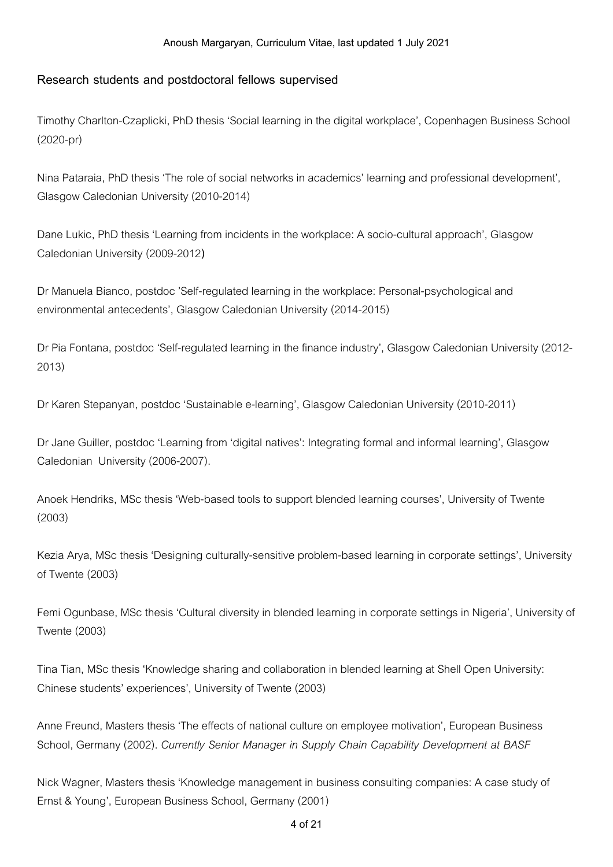#### **Research students and postdoctoral fellows supervised**

Timothy Charlton-Czaplicki, PhD thesis 'Social learning inthe digital workplace', Copenhagen Business School (2020-pr)

Nina Pataraia, PhD thesis 'The role of social networks in academics' learning and professional development', Glasgow Caledonian University (2010-2014)

Dane Lukic, PhD thesis 'Learning from incidents in the workplace: A socio-cultural approach', Glasgow Caledonian University (2009-2012**)**

Dr Manuela Bianco, postdoc 'Self-regulated learning in the workplace: Personal-psychological and environmental antecedents', Glasgow Caledonian University (2014-2015)

Dr Pia Fontana, postdoc 'Self-regulated learning in the finance industry', Glasgow Caledonian University (2012-2013)

Dr Karen Stepanyan, postdoc 'Sustainable e-learning', Glasgow Caledonian University (2010-2011)

Dr Jane Guiller, postdoc 'Learning from 'digital natives': Integrating formal and informal learning', Glasgow Caledonian University (2006-2007).

Anoek Hendriks, MSc thesis 'Web-based tools to support blended learning courses', University of Twente (2003)

Kezia Arya, MSc thesis 'Designing culturally-sensitive problem-based learning in corporate settings', University of Twente (2003)

Femi Ogunbase, MSc thesis 'Cultural diversity in blended learning in corporate settings in Nigeria', University of Twente(2003)

Tina Tian, MSc thesis 'Knowledge sharing and collaboration in blended learning at Shell Open University: Chinese students' experiences', University of Twente (2003)

Anne Freund, Masters thesis 'The effects of national culture on employee motivation', European Business School, Germany (2002). *Currently Senior Manager in Supply Chain Capability Development at BASF*

Nick Wagner, Masters thesis 'Knowledge management in business consulting companies: A case study of Ernst & Young', European Business School, Germany (2001)

4 of 21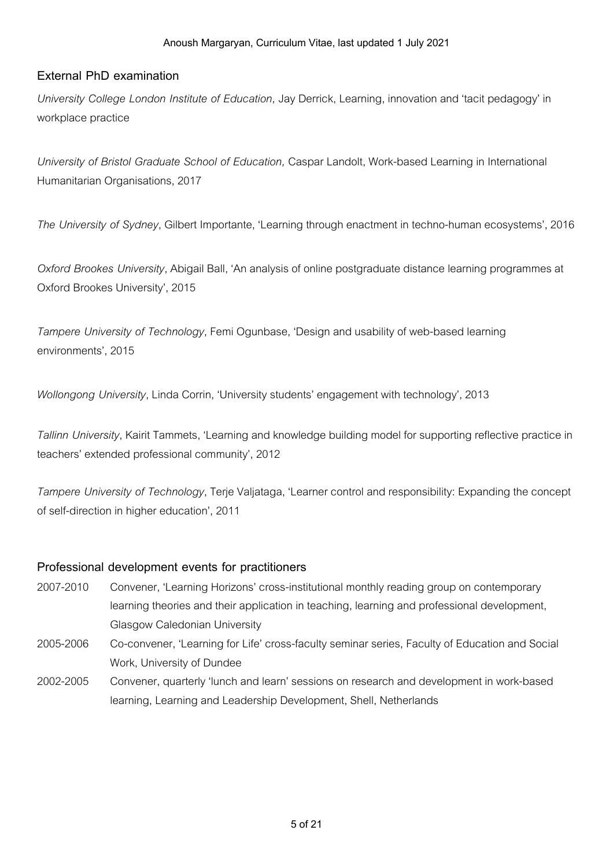### **External PhD examination**

*University College London Institute of Education,* Jay Derrick,Learning, innovationand 'tacit pedagogy' in workplace practice

*University of Bristol Graduate School of Education,* CasparLandolt, Work-based Learning inInternational Humanitarian Organisations,2017

*The University of Sydney*, Gilbert Importante, 'Learning throughenactment intechno-humanecosystems',2016

*Oxford Brookes University*, Abigail Ball, 'An analysis of online postgraduate distance learning programmes at Oxford Brookes University',2015

*Tampere University of Technology*, Femi Ogunbase, 'Design and usability of web-based learning environments',2015

*Wollongong University*, Linda Corrin, 'University students' engagement with technology', 2013

*Tallinn University*, Kairit Tammets, 'Learning and knowledge building model for supporting reflective practice in teachers' extended professional community', 2012

*Tampere University of Technology*, Terje Valjataga, 'Learner control and responsibility: Expanding the concept of self-direction in higher education', 2011

#### **Professional development events for practitioners**

- 2007-2010 Convener, 'Learning Horizons'cross-institutional monthly reading group oncontemporary learning theories and their application in teaching, learning and professional development, Glasgow Caledonian University
- 2005-2006 Co-convener, 'Learning for Life' cross-faculty seminar series, Faculty of Education and Social Work, University of Dundee
- 2002-2005 Convener, quarterly 'lunchand learn' sessionsonresearchand development in work-based learning, Learning and Leadership Development, Shell, Netherlands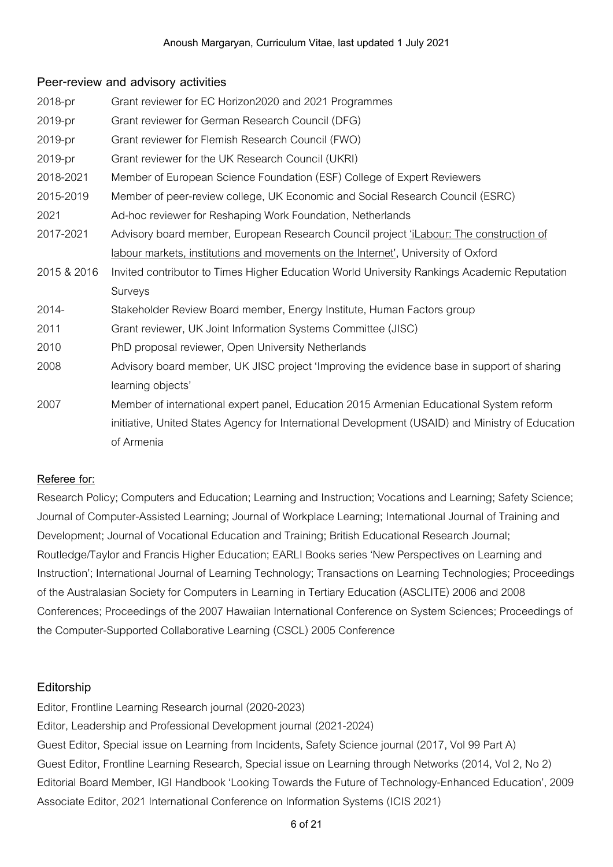### **Peer-review and advisory activities**

| 2018-pr     | Grant reviewer for EC Horizon2020 and 2021 Programmes                                            |
|-------------|--------------------------------------------------------------------------------------------------|
| 2019-pr     | Grant reviewer for German Research Council (DFG)                                                 |
| 2019-pr     | Grant reviewer for Flemish Research Council (FWO)                                                |
| 2019-pr     | Grant reviewer for the UK Research Council (UKRI)                                                |
| 2018-2021   | Member of European Science Foundation (ESF) College of Expert Reviewers                          |
| 2015-2019   | Member of peer-review college, UK Economic and Social Research Council (ESRC)                    |
| 2021        | Ad-hoc reviewer for Reshaping Work Foundation, Netherlands                                       |
| 2017-2021   | Advisory board member, European Research Council project 'iLabour: The construction of           |
|             | labour markets, institutions and movements on the Internet', University of Oxford                |
| 2015 & 2016 | Invited contributor to Times Higher Education World University Rankings Academic Reputation      |
|             | Surveys                                                                                          |
| 2014-       | Stakeholder Review Board member, Energy Institute, Human Factors group                           |
| 2011        | Grant reviewer, UK Joint Information Systems Committee (JISC)                                    |
| 2010        | PhD proposal reviewer, Open University Netherlands                                               |
| 2008        | Advisory board member, UK JISC project 'Improving the evidence base in support of sharing        |
|             | learning objects'                                                                                |
| 2007        | Member of international expert panel, Education 2015 Armenian Educational System reform          |
|             | initiative, United States Agency for International Development (USAID) and Ministry of Education |
|             | of Armenia                                                                                       |

### **Referee for:**

Research Policy; Computers and Education; Learning and Instruction; Vocations and Learning; Safety Science; Journal of Computer-Assisted Learning; Journal of Workplace Learning; International Journal of Training and Development; Journal of Vocational Education and Training; British Educational Research Journal; Routledge/Taylor and Francis Higher Education; EARLI Books series 'New Perspectives on Learning and Instruction'; International Journal of Learning Technology; Transactions on Learning Technologies; Proceedings of the Australasian Society for Computers inLearning inTertiary Education(ASCLITE)2006and 2008 Conferences; Proceedings of the 2007 Hawaiian International Conference on System Sciences; Proceedings of the Computer-Supported Collaborative Learning (CSCL) 2005 Conference

# **Editorship**

Editor, Frontline Learning Research journal (2020-2023) Editor, Leadership and Professional Development journal (2021-2024) Guest Editor, Special issue on Learning from Incidents, Safety Science journal (2017, Vol 99 Part A) Guest Editor, Frontline Learning Research, Special issue on Learning through Networks (2014, Vol 2, No 2) Editorial Board Member, IGI Handbook 'Looking Towards the Future of Technology-Enhanced Education', 2009 Associate Editor, 2021 International Conference on Information Systems (ICIS 2021)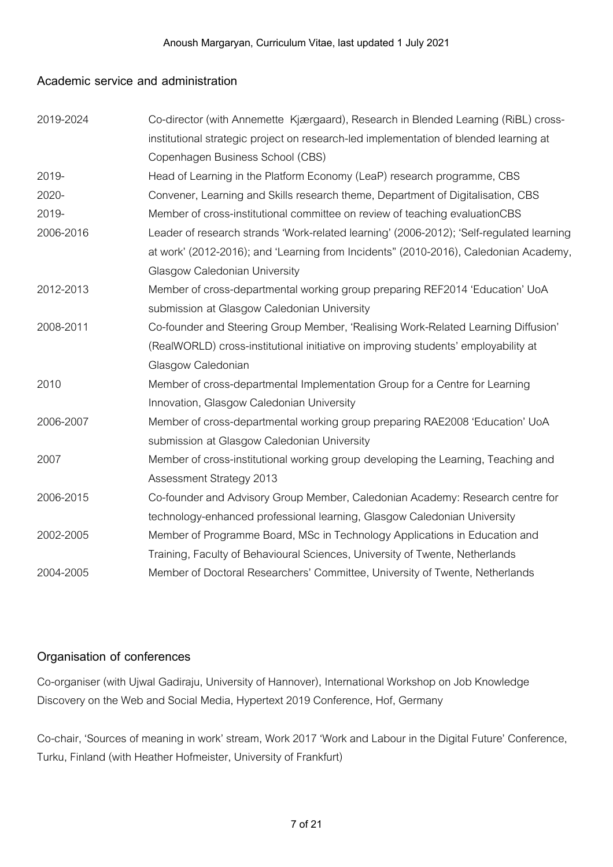#### **Academic service and administration**

| 2019-2024 | Co-director (with Annemette Kjærgaard), Research in Blended Learning (RiBL) cross-       |
|-----------|------------------------------------------------------------------------------------------|
|           | institutional strategic project on research-led implementation of blended learning at    |
|           | Copenhagen Business School (CBS)                                                         |
| 2019-     | Head of Learning in the Platform Economy (LeaP) research programme, CBS                  |
| 2020-     | Convener, Learning and Skills research theme, Department of Digitalisation, CBS          |
| 2019-     | Member of cross-institutional committee on review of teaching evaluationCBS              |
| 2006-2016 | Leader of research strands 'Work-related learning' (2006-2012); 'Self-regulated learning |
|           | at work' (2012-2016); and 'Learning from Incidents" (2010-2016), Caledonian Academy,     |
|           | Glasgow Caledonian University                                                            |
| 2012-2013 | Member of cross-departmental working group preparing REF2014 'Education' UoA             |
|           | submission at Glasgow Caledonian University                                              |
| 2008-2011 | Co-founder and Steering Group Member, 'Realising Work-Related Learning Diffusion'        |
|           | (RealWORLD) cross-institutional initiative on improving students' employability at       |
|           | Glasgow Caledonian                                                                       |
| 2010      | Member of cross-departmental Implementation Group for a Centre for Learning              |
|           | Innovation, Glasgow Caledonian University                                                |
| 2006-2007 | Member of cross-departmental working group preparing RAE2008 'Education' UoA             |
|           | submission at Glasgow Caledonian University                                              |
| 2007      | Member of cross-institutional working group developing the Learning, Teaching and        |
|           | <b>Assessment Strategy 2013</b>                                                          |
| 2006-2015 | Co-founder and Advisory Group Member, Caledonian Academy: Research centre for            |
|           | technology-enhanced professional learning, Glasgow Caledonian University                 |
| 2002-2005 | Member of Programme Board, MSc in Technology Applications in Education and               |
|           | Training, Faculty of Behavioural Sciences, University of Twente, Netherlands             |
| 2004-2005 | Member of Doctoral Researchers' Committee, University of Twente, Netherlands             |

### **Organisation of conferences**

Co-organiser (with Ujwal Gadiraju, Universityof Hannover), International Workshop onJob Knowledge Discovery on the Web and Social Media, Hypertext 2019 Conference, Hof, Germany

Co-chair, 'Sources of meaning in work' stream, Work 2017 'Work and Labour in the Digital Future' Conference, Turku, Finland (with Heather Hofmeister, University of Frankfurt)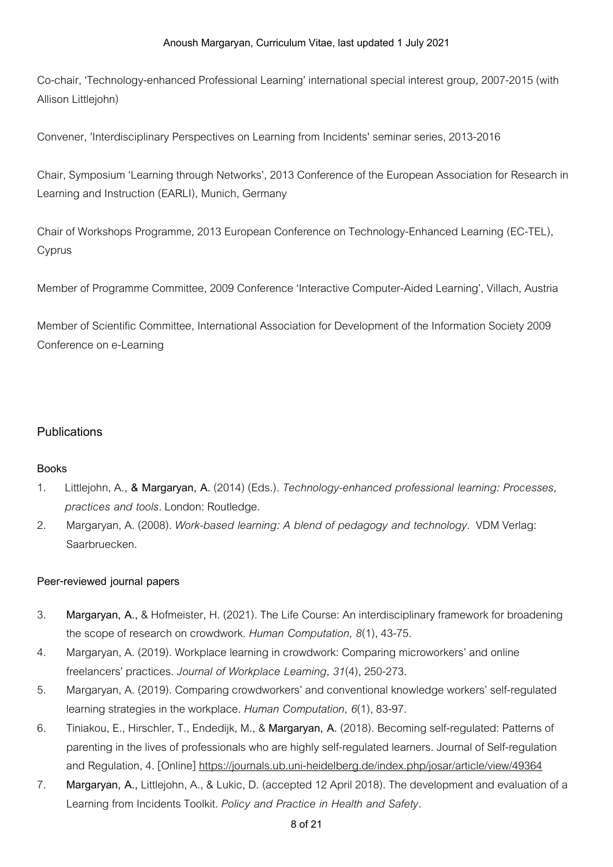Co-chair, 'Technology-enhanced Professional Learning' international special interest group, 2007-2015 (with Allison Littleiohn)

Convener, 'Interdisciplinary Perspectives on Learning from Incidents' seminar series, 2013-2016

Chair, Symposium 'Learning through Networks', 2013 Conference of the European Association for Research in Learning and Instruction(EARLI), Munich, Germany

Chair of Workshops Programme, 2013 European Conference on Technology-Enhanced Learning (EC-TEL), Cyprus

Member of Programme Committee, 2009 Conference 'Interactive Computer-Aided Learning', Villach, Austria

Member of Scientific Committee, International Association for Development of the Information Society 2009 Conference on e-Learning

# **Publications**

### **Books**

- 1. Littlejohn, A., **& Margaryan, A.** (2014) (Eds.).*Technology-enhanced professional learning: Processes, practices and tools.*London: Routledge.
- 2. Margaryan, A. (2008). *Work-based learning: A blend of pedagogy and technology*. VDM Verlag: Saarbruecken.

### **Peer-reviewed journal papers**

- 3. **Margaryan, A.,** & Hofmeister, H. (2021).TheLife Course: Aninterdisciplinary framework for broadening the scope of research on crowdwork. *Human Computation*, 8(1), 43-75.
- 4. Margaryan, A. (2019). Workplace learning in crowdwork: Comparing microworkers' and online freelancers' practices. *Journal of Workplace Learning, 31*(4),250-273.
- 5. Margaryan, A. (2019). Comparing crowdworkers' and conventional knowledge workers' self-regulated learning strategies in the workplace. *Human Computation,* 6(1), 83-97.
- 6. Tiniakou, E., Hirschler,T., Endedijk, M., & **Margaryan, A.** (2018). Becoming self-regulated: Patternsof parenting in the lives of professionals who are highly self-regulated learners. Journal of Self-regulation and Regulation, 4. [Online] https://journals.ub.uni-heidelberg.de/index.php/josar/article/view/49364
- 7. **Margaryan, A., Littlejohn, A., & Lukic, D. (accepted 12 April 2018). The development and evaluation of a** Learning from IncidentsToolkit. *Policy and Practice in Health and Safety.*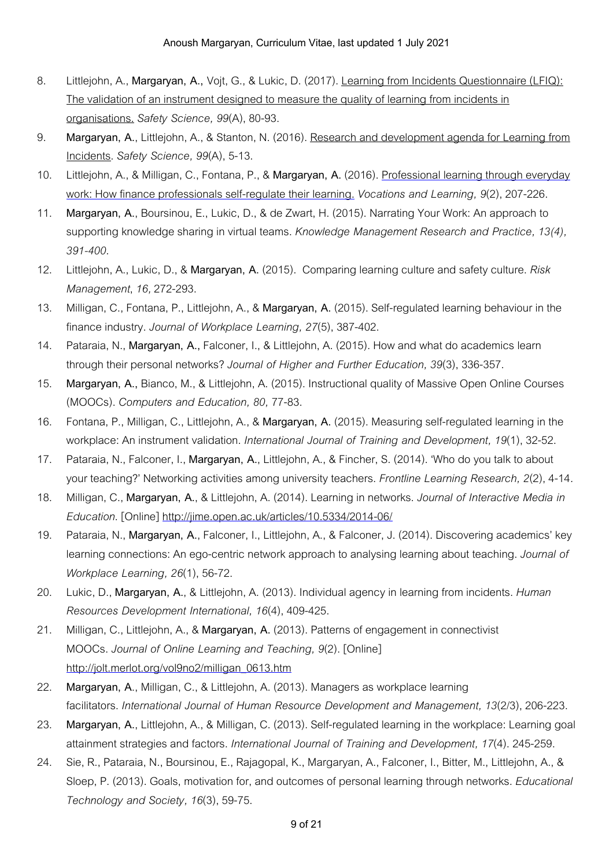- 8. Littlejohn, A., Margaryan, A., Vojt, G., & Lukic, D. (2017). Learning from Incidents Questionnaire (LFIQ): The validation of an instrument designed to measure the quality of learning from incidents in organisations. *Safety Science, 99*(A),80-93.
- 9. **Margaryan, A., Littlejohn, A., & Stanton, N. (2016). Research and development agenda for Learning from** Incidents. *Safety Science*, 99(A), 5-13.
- 10. Littlejohn, A., & Milligan, C.,Fontana, P., & **Margaryan, A.** (2016). Professional learning througheveryday work: How finance professionals self-regulate their learning. *Vocations and Learning, 9(2), 207-226.*
- 11. **Margaryan, A.**, Boursinou, E.,Lukic, D., & de Zwart, H. (2015). Narrating Your Work: Anapproachto supporting knowledgesharing invirtual teams. *Knowledge Management Research and Practice, 13(4), 391-400.*
- 12. Littlejohn, A.,Lukic, D., & **Margaryan, A.** (2015). Comparing learning cultureand safetyculture. *Risk Management*,*16,*272-293.
- 13. Milligan, C.,Fontana, P.,Littlejohn, A., & **Margaryan, A.** (2015). Self-regulated learning behaviour inthe financeindustry. *Journal of Workplace Learning, 27*(5),387-402.
- 14. Pataraia, N., **Margaryan, A.,**Falconer, I., & Littlejohn, A. (2015). How and what doacademics learn throughtheir personalnetworks? *Journal of Higher and Further Education, 39*(3),336-357.
- 15. **Margaryan, A.,** Bianco, M., & Littlejohn, A. (2015). Instructional qualityof Massive Open Online Courses (MOOCs). *Computers and Education, 80,* 77-83.
- 16. Fontana, P., Milligan, C.,Littlejohn, A., & **Margaryan, A.** (2015). Measuring self-regulated learning inthe workplace: Aninstrument validation. *International Journal of Training and Development, 19*(1),32-52.
- 17. Pataraia, N.,Falconer, I., **Margaryan, A.**,Littlejohn, A., & Fincher, S. (2014). 'Who doyoutalk toabout your teaching?' Networking activities among university teachers. Frontline Learning Research, 2(2), 4-14.
- 18. Milligan, C., **Margaryan, A.**, & Littlejohn, A. (2014).Learning innetworks. *Journal of Interactive Media in Education.* [Online] http://jime.open.ac.uk/articles/10.5334/2014-06/
- 19. Pataraia, N., **Margaryan, A.**,Falconer, I.,Littlejohn, A., & Falconer, J. (2014). Discovering academics' key learning connections: An ego-centric network approach to analysing learning about teaching. *Journal of Workplace Learning, 26*(1),56-72.
- 20. Lukic, D., **Margaryan, A.**, & Littlejohn, A. (2013). Individualagency inlearning from incidents. *Human Resources Development International, 16*(4),409-425.
- 21. Milligan, C.,Littlejohn, A., & **Margaryan, A.** (2013). Patternsofengagement inconnectivist MOOCs. *Journal of Online Learning and Teaching, 9*(2). [Online] http://jolt.merlot.org/vol9no2/milligan\_0613.htm
- 22. Margaryan, A., Milligan, C., & Littlejohn, A. (2013). Managers as workplace learning facilitators. *International Journal of Human Resource Development and Management, 13*(2/3),206-223.
- 23. **Margaryan, A.**,Littlejohn, A., & Milligan, C. (2013). Self-regulated learning inthe workplace:Learning goal attainment strategiesand factors. *International Journal of Training and Development, 17*(4).245-259.
- 24. Sie, R., Pataraia, N., Boursinou, E., Rajagopal, K., Margaryan, A.,Falconer, I., Bitter, M.,Littlejohn, A., & Sloep, P. (2013). Goals, motivation for, and outcomes of personal learning through networks. *Educational Technology and Society, 16*(3),59-75.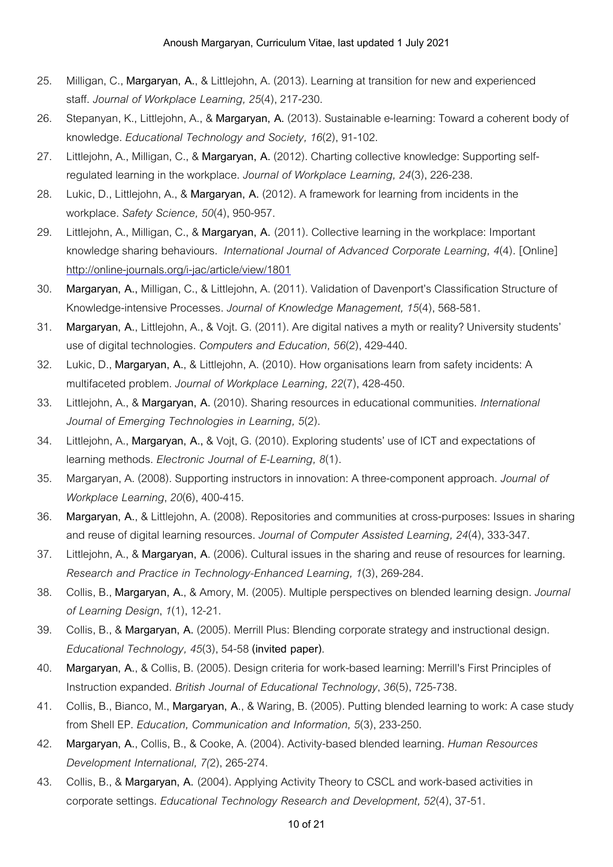- 25. Milligan, C., **Margaryan, A.**, & Littlejohn, A. (2013).Learning at transitionfornew and experienced staff. *Journal of Workplace Learning, 25*(4),217-230.
- 26. Stepanyan, K., Littlejohn, A., & Margaryan, A. (2013). Sustainable e-learning: Toward a coherent body of knowledge. *Educational Technology and Society, 16*(2),91-102.
- 27. Littlejohn, A., Milligan, C., & **Margaryan, A.** (2012). Charting collectiveknowledge: Supporting selfregulated learning inthe workplace. *Journal of Workplace Learning, 24*(3),226-238.
- 28. Lukic, D.,Littlejohn, A., & **Margaryan, A.** (2012). A framework for learning from incidents inthe workplace. *Safety Science, 50*(4),950-957.
- 29. Littlejohn, A., Milligan, C., & **Margaryan, A.** (2011). Collectivelearning inthe workplace: Important knowledge sharing behaviours. *International Journal of Advanced Corporate Learning, 4(4).* [Online] http://online-journals.org/i-jac/article/view/1801
- 30. **Margaryan, A.,** Milligan, C., & Littlejohn, A. (2011). Validationof Davenport's Classification Structureof Knowledge-intensive Processes. *Journal of Knowledge Management, 15*(4),568-581.
- 31. **Margaryan, A.**,Littlejohn, A., & Vojt. G. (2011). Are digitalnativesa mythor reality? University students' use of digital technologies. *Computers* and *Education*, 56(2), 429-440.
- 32. Lukic, D., **Margaryan, A.**, & Littlejohn, A. (2010). How organisations learnfrom safety incidents: A multifaceted problem. *Journal of Workplace Learning, 22*(7),428-450.
- 33. Littlejohn, A., & **Margaryan, A.** (2010). Sharing resources ineducationalcommunities. *International Journal of Emerging Technologies in Learning, 5*(2).
- 34. Littlejohn, A., Margaryan, A., & Vojt, G. (2010). Exploring students' use of ICT and expectations of learning methods. *Electronic Journal of E-Learning, 8*(1)*.*
- 35. Margaryan, A. (2008). Supporting instructors ininnovation: A three-componentapproach. *Journal of Workplace Learning*,*20*(6),400-415.
- 36. **Margaryan, A.**, & Littlejohn, A. (2008). Repositoriesand communitiesatcross-purposes: Issues insharing and reuse of digital learning resources. Journal of Computer Assisted Learning, 24(4), 333-347.
- 37. Littlejohn, A., & **Margaryan, A**. (2006). Cultural issues inthesharing and reuseof resources for learning. *Research and Practice in Technology-Enhanced Learning, 1*(3),269-284.
- 38. Collis, B., **Margaryan, A.**, & Amory, M. (2005). Multiple perspectiveson blended learning design. *Journal of Learning Design*,*1*(1),12-21.
- 39. Collis, B., & **Margaryan, A.** (2005). Merrill Plus: Blending corporatestrategyand instructional design. *Educational Technology, 45*(3),54-58**(invited paper)**.
- 40. Margaryan, A., & Collis, B. (2005). Design criteria for work-based learning: Merrill's First Principles of Instructionexpanded. *British Journal of Educational Technology*,*36*(5),725-738.
- 41. Collis, B., Bianco, M., Margaryan, A., & Waring, B. (2005). Putting blended learning to work: A case study from Shell EP. *Education, Communication and Information, 5*(3),233-250.
- 42. **Margaryan, A.**, Collis, B., & Cooke, A. (2004). Activity-based blended learning. *Human Resources Development International, 7(*2),265-274.
- 43. Collis, B., & **Margaryan, A.** (2004). Applying ActivityTheory to CSCLand work-based activities in corporatesettings. *Educational Technology Research and Development, 52*(4),37-51.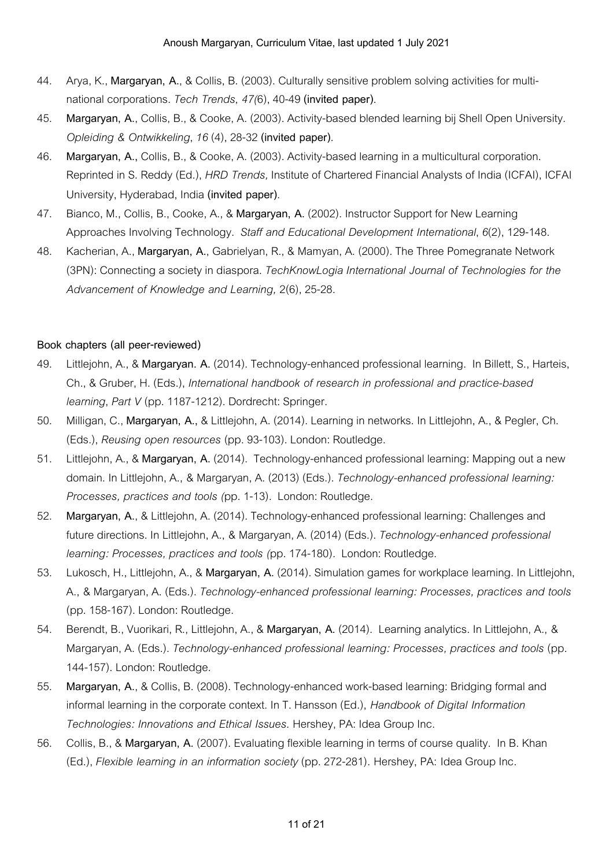- 44. Arya, K., **Margaryan, A.**, & Collis, B. (2003). Culturally sensitive problem solving activities for multinationalcorporations. *Tech Trends, 47(*6),40-49**(invited paper)**.
- 45. **Margaryan, A.**, Collis, B., & Cooke, A. (2003). Activity-based blended learning bij Shell Open University. *Opleiding & Ontwikkeling*,*16*(4),28-32**(invited paper)**.
- 46. **Margaryan, A.,** Collis, B., & Cooke, A. (2003). Activity-based learning ina multiculturalcorporation. Reprinted in S. Reddy (Ed.), *HRD Trends*, Institute of Chartered Financial Analysts of India (ICFAI), ICFAI University, Hyderabad, India**(invited paper)**.
- 47. Bianco, M., Collis, B., Cooke, A., & **Margaryan, A.** (2002). Instructor Support for New Learning Approaches Involving Technology. *Staff and Educational Development International*,*6*(2),129-148.
- 48. Kacherian, A., **Margaryan, A.**, Gabrielyan, R., & Mamyan, A. (2000).TheThree Pomegranate Network (3PN): Connecting asociety in diaspora.*TechKnowLogiaInternational Journal of Technologies for the Advancement of Knowledge and Learning,* 2(6),25-28.

#### **Book chapters (all peer-reviewed)**

- 49. Littlejohn, A., & **Margaryan. A.** (2014).Technology-enhanced professional learning. In Billett, S., Harteis, Ch., & Gruber, H. (Eds.), *International handbook of research in professional and practice-based learning*, *Part V* (pp.1187-1212). Dordrecht: Springer.
- 50. Milligan, C., **Margaryan, A.,** & Littlejohn, A. (2014).Learning innetworks. InLittlejohn, A., & Pegler, Ch. (Eds.), *Reusing open resources* (pp.93-103).London: Routledge.
- 51. Littlejohn, A., & **Margaryan, A.** (2014). Technology-enhanced professional learning: Mapping outanew domain. InLittlejohn, A., & Margaryan, A. (2013) (Eds.).*Technology-enhanced professional learning: Processes, practices and tools (*pp.1-13)*.* London: Routledge.
- 52. Margaryan, A., & Littlejohn, A. (2014). Technology-enhanced professional learning: Challenges and future directions. InLittlejohn, A., & Margaryan, A. (2014) (Eds.).*Technology-enhanced professional learning: Processes, practices and tools (*pp.174-180)*.* London: Routledge.
- 53. Lukosch, H.,Littlejohn, A., & **Margaryan, A.** (2014). Simulation games for workplacelearning. InLittlejohn, A., & Margaryan, A. (Eds.).*Technology-enhanced professional learning: Processes, practices and tools* (pp.158-167).London: Routledge.
- 54. Berendt, B., Vuorikari, R.,Littlejohn, A., & **Margaryan, A.** (2014). Learning analytics. InLittlejohn, A., & Margaryan, A. (Eds.).*Technology-enhanced professional learning: Processes, practices and tools* (pp. 144-157). London: Routledge.
- 55. **Margaryan, A.**, & Collis, B. (2008).Technology-enhanced work-based learning: Bridging formaland informal learning inthecorporatecontext. InT. Hansson(Ed.), *Handbook of Digital Information Technologies: Innovations and Ethical Issues.* Hershey, PA: Idea Group Inc.
- 56. Collis, B., & **Margaryan, A.** (2007). Evaluating flexiblelearning intermsofcourse quality. In B. Khan (Ed.),*Flexible learning in an information society* (pp.272-281)*.* Hershey, PA: Idea Group Inc.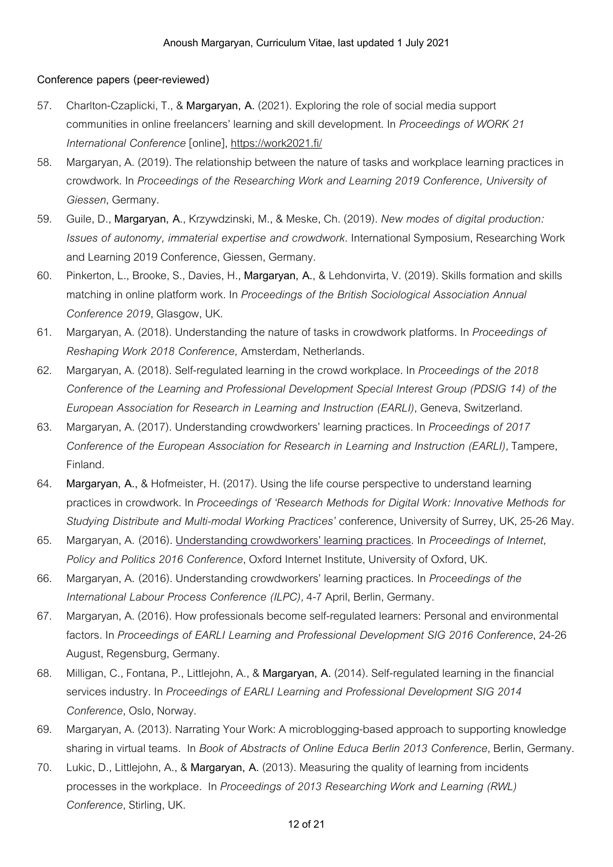#### **Conference papers (peer-reviewed)**

- 57. Charlton-Czaplicki,T., & **Margaryan, A.** (2021). Exploring theroleof social mediasupport communities inonlinefreelancers' learning and skill development. In *Proceedings of WORK 21 International Conference* [online], https://work2021.fi/
- 58. Margaryan, A. (2019). The relationship between the nature of tasks and workplace learning practices in crowdwork. In *Proceedings of the Researching Work and Learning 2019 Conference, University of Giessen*, Germany.
- 59. Guile, D., **Margaryan, A**., Krzywdzinski, M., & Meske, Ch. (2019). *New modes of digital production: Issues of autonomy, immaterial expertise and crowdwork.* International Symposium, Researching Work and Learning 2019 Conference, Giessen, Germany.
- 60. Pinkerton,L., Brooke, S., Davies, H., **Margaryan, A.**, & Lehdonvirta, V. (2019). Skills formationand skills matching inonline platform work. In *Proceedings of the British Sociological Association Annual Conference 2019*, Glasgow, UK.
- 61. Margaryan, A. (2018). Understanding thenatureof tasks incrowdwork platforms. In *Proceedings of Reshaping Work 2018 Conference,* Amsterdam, Netherlands.
- 62. Margaryan, A. (2018). Self-regulated learning inthecrowd workplace. In *Proceedings of the 2018 Conference of the Learning and Professional Development Special Interest Group (PDSIG 14) of the European Association for Research in Learning and Instruction (EARLI)*, Geneva, Switzerland.
- 63. Margaryan, A. (2017). Understanding crowdworkers' learning practices. In *Proceedings of 2017 Conference of the European Association for Research in Learning and Instruction (EARLI),*Tampere, Finland.
- 64. **Margaryan, A.,** & Hofmeister, H. (2017). Using thelifecourse perspectivetounderstand learning practices incrowdwork. In *Proceedings of 'Research Methods for Digital Work: Innovative Methods for Studying Distribute and Multi-modal Working Practices'* conference, Universityof Surrey, UK,25-26 May.
- 65. Margaryan, A. (2016). Understanding crowdworkers' learning practices. In *Proceedings of Internet, Policy and Politics 2016 Conference*, Oxford Internet Institute, Universityof Oxford, UK.
- 66. Margaryan, A. (2016). Understanding crowdworkers' learning practices. In *Proceedings of the International Labour Process Conference (ILPC),*4-7 April, Berlin, Germany.
- 67. Margaryan, A. (2016). How professionals becomeself-regulated learners: Personaland environmental factors. In *Proceedings of EARLI Learning and Professional Development SIG 2016 Conference*,24-26 August, Regensburg, Germany.
- 68. Milligan, C.,Fontana, P.,Littlejohn, A., & **Margaryan, A.** (2014). Self-regulated learning inthefinancial services industry. In *Proceedings of EARLI Learning and Professional Development SIG 2014 Conference*, Oslo, Norway.
- 69. Margaryan, A. (2013). Narrating Your Work: A microblogging-based approach to supporting knowledge sharing invirtual teams. In *Book of Abstracts of Online Educa Berlin 2013 Conference*, Berlin, Germany.
- 70. Lukic, D.,Littlejohn, A., & **Margaryan, A.** (2013). Measuring the qualityof learning from incidents processes inthe workplace. In *Proceedings of 2013 Researching Work and Learning (RWL) Conference*, Stirling, UK.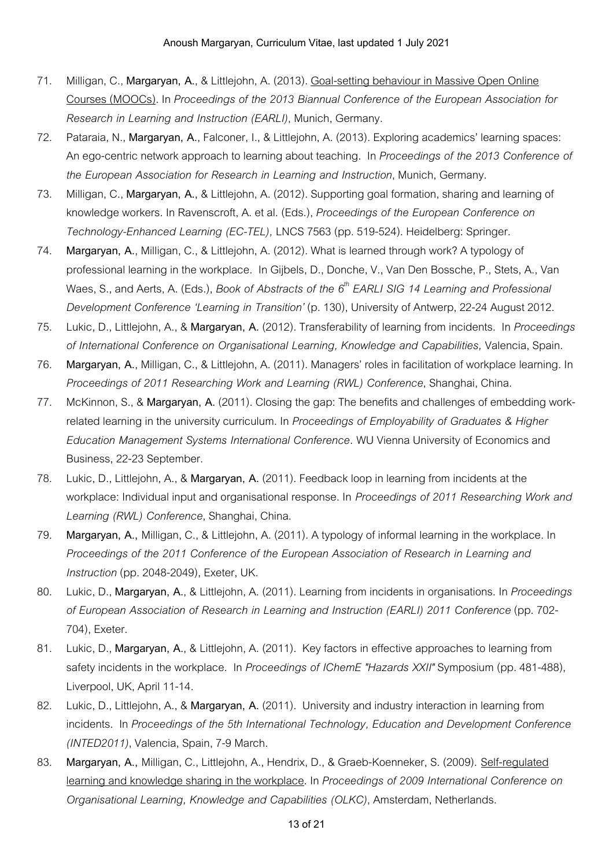- 71. Milligan, C., **Margaryan, A.**, & Littlejohn, A. (2013). Goal-setting behaviour in Massive Open Online Courses (MOOCs). In *Proceedings of the 2013 Biannual Conference of the European Association for Research in Learning and Instruction (EARLI)*, Munich, Germany.
- 72. Pataraia, N., **Margaryan, A.**,Falconer, I., & Littlejohn, A. (2013). Exploring academics' learning spaces: Anego-centricnetworkapproachtolearning about teaching. In *Proceedings of the 2013 Conference of the European Association for Research in Learning and Instruction*, Munich, Germany.
- 73. Milligan, C., **Margaryan, A.,** & Littlejohn, A. (2012). Supporting goal formation, sharing and learning of knowledge workers. In Ravenscroft, A.etal. (Eds.), *Proceedings of the European Conference on Technology-Enhanced Learning (EC-TEL),* LNCS 7563(pp.519-524). Heidelberg: Springer.
- 74. **Margaryan, A.**, Milligan, C., & Littlejohn, A. (2012). What is learned through work? A typologyof professional learning inthe workplace. In Gijbels, D., Donche, V., Van Den Bossche, P., Stets, A., Van Waes, S.,and Aerts, A. (Eds.), *Book of Abstracts of the 6 th EARLI SIG 14 Learning and Professional Development Conference* 'Learning in Transition' (p. 130), University of Antwerp, 22-24 August 2012.
- 75. Lukic, D.,Littlejohn, A., & **Margaryan, A.** (2012).Transferabilityof learning from incidents. In *Proceedings of International Conference on Organisational Learning, Knowledge and Capabilities,* Valencia, Spain.
- 76. **Margaryan, A.**, Milligan, C., & Littlejohn, A. (2011). Managers' roles infacilitationof workplacelearning. In *Proceedings of 2011 Researching Work and Learning (RWL) Conference*, Shanghai, China.
- 77. McKinnon, S., & **Margaryan, A.** (2011). Closing the gap:The benefitsand challengesofembedding workrelated learning intheuniversitycurriculum. In *Proceedings of Employability of Graduates & Higher Education Management Systems International Conference.* WU Vienna Universityof Economicsand Business,22-23 September.
- 78. Lukic, D.,Littlejohn, A., & **Margaryan, A.** (2011).Feedback loop inlearning from incidentsat the workplace: Individual input and organisational response. In *Proceedings of* 2011 Researching Work and *Learning (RWL) Conference*, Shanghai, China.
- 79. **Margaryan, A.,** Milligan, C., & Littlejohn, A. (2011). A typologyof informal learning inthe workplace. In *Proceedings of the 2011 Conference of the European Association of Research in Learning and Instruction*(pp.2048-2049), Exeter, UK.
- 80. Lukic, D., **Margaryan, A.**, & Littlejohn, A. (2011).Learning from incidents inorganisations. In *Proceedings of European Association of Research in Learning and Instruction (EARLI) 2011 Conference*(pp.702- 704), Exeter.
- 81. Lukic, D., **Margaryan, A.**, & Littlejohn, A. (2011). Key factors ineffectiveapproaches tolearning from safety incidents inthe workplace. In *Proceedings of IChemE "Hazards XXII"* Symposium (pp.481-488), Liverpool, UK, April 11-14.
- 82. Lukic, D.,Littlejohn, A., & **Margaryan, A.** (2011). Universityand industry interactioninlearning from incidents. In *Proceedings of the 5th International Technology, Education and Development Conference (INTED2011)*, Valencia, Spain, 7-9 March.
- 83. **Margaryan, A.,** Milligan, C.,Littlejohn, A., Hendrix, D., & Graeb-Koenneker, S. (2009). Self-regulated learning and knowledgesharing inthe workplace. In *Proceedings of 2009 International Conference on Organisational Learning, Knowledge and Capabilities (OLKC)*, Amsterdam, Netherlands.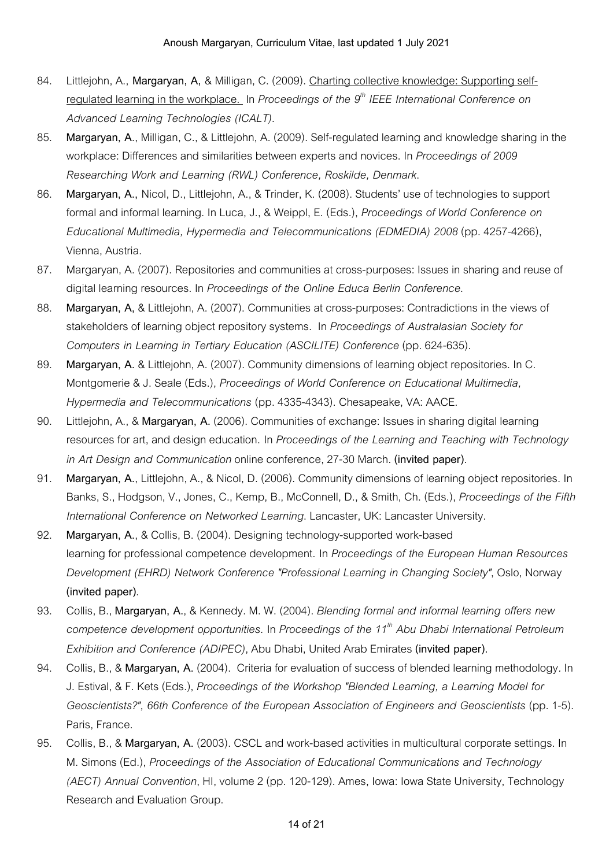- 84. Littlejohn, A., **Margaryan, A,** & Milligan, C. (2009). Charting collectiveknowledge: Supporting selfregulated learning inthe workplace. In *Proceedings of the 9 th IEEE International Conference on Advanced Learning Technologies (ICALT)*.
- 85. **Margaryan, A**., Milligan, C., & Littlejohn, A. (2009). Self-regulated learning and knowledgesharing inthe workplace: Differencesand similarities betweenexpertsand novices. In *Proceedings of 2009 Researching Work and Learning (RWL) Conference, Roskilde, Denmark*.
- 86. **Margaryan, A., Nicol, D., Littlejohn, A., & Trinder, K. (2008). Students' use of technologies to support** formaland informal learning. InLuca, J., & Weippl, E. (Eds.), *Proceedings of World Conference on Educational Multimedia, Hypermedia and Telecommunications (EDMEDIA) 2008*(pp.4257-4266), Vienna, Austria.
- 87. Margaryan, A. (2007). Repositories and communities at cross-purposes: Issues in sharing and reuse of digital learning resources. In *Proceedings of the Online Educa Berlin Conference*.
- 88. Margaryan, A, & Littlejohn, A. (2007). Communities at cross-purposes: Contradictions in the views of stakeholdersof learning object repository systems. In *Proceedings of Australasian Society for Computers in Learning in Tertiary Education (ASCILITE) Conference*(pp.624-635).
- 89. **Margaryan, A.** & Littlejohn, A. (2007). Community dimensionsof learning object repositories. In C. Montgomerie & J. Seale(Eds.), *Proceedings of World Conference on Educational Multimedia, Hypermedia and Telecommunications* (pp.4335-4343). Chesapeake, VA: AACE.
- 90. Littlejohn, A., & Margaryan, A. (2006). Communities of exchange: Issues in sharing digital learning resources forart,and designeducation. In *Proceedings of the Learning and Teaching with Technology in Art Design and Communication*onlineconference,27-30 March. **(invited paper)**.
- 91. Margaryan, A., Littlejohn, A., & Nicol, D. (2006). Community dimensions of learning object repositories. In Banks, S., Hodgson, V., Jones, C., Kemp, B., McConnell, D., & Smith, Ch. (Eds.), *Proceedings of the Fifth International Conference on Networked Learning*.Lancaster, UK:Lancaster University.
- 92. **Margaryan, A.**, & Collis, B. (2004). Designing technology-supported work-based learning for professionalcompetence development. In *Proceedings of the European Human Resources Development (EHRD) Network Conference "Professional Learning in Changing Society"*, Oslo, Norway **(invited paper)**.
- 93. Collis, B., **Margaryan, A.**, & Kennedy. M. W. (2004). *Blending formal and informal learning offers new competence development opportunities.* In *Proceedings of the 11th Abu Dhabi International Petroleum Exhibition and Conference (ADIPEC)*, Abu Dhabi, United Arab Emirates **(invited paper).**
- 94. Collis, B., & **Margaryan, A.** (2004). Criteriaforevaluationof successof blended learning methodology*.* In J. Estival, & F. Kets (Eds.), *Proceedings of the Workshop "Blended Learning, a Learning Model for Geoscientists?", 66th Conference of the European Association of Engineers and Geoscientists* (pp.1-5). Paris, France.
- 95. Collis, B., & **Margaryan, A.** (2003). CSCLand work-based activities in multiculturalcorporatesettings. In M. Simons (Ed.), *Proceedings of the Association of Educational Communications and Technology (AECT) Annual Convention*, HI, volume 2 (pp. 120-129). Ames, Iowa: Iowa State University, Technology Research and Evaluation Group.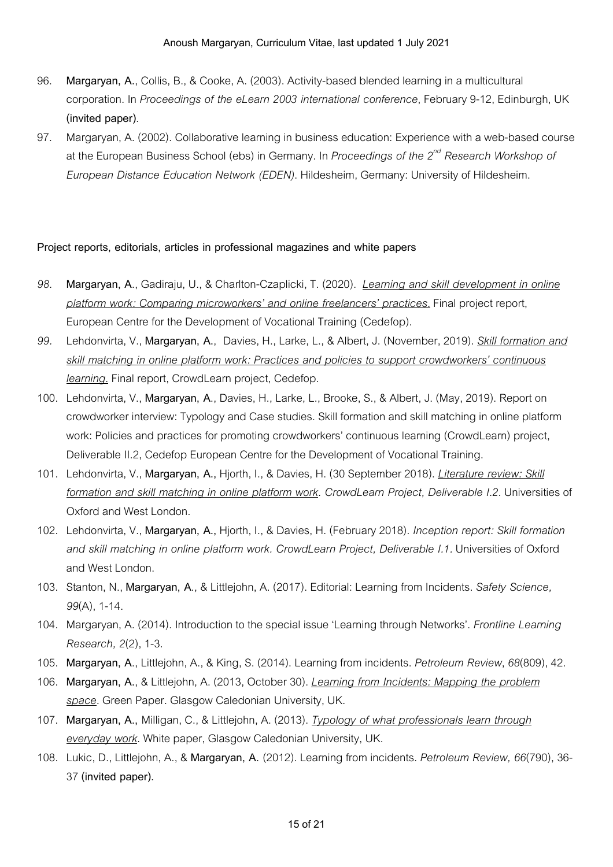- 96. **Margaryan, A.**, Collis, B., & Cooke, A. (2003). Activity-based blended learning ina multicultural corporation. In *Proceedings of the eLearn 2003 international conference*,February9-12, Edinburgh, UK **(invited paper)**.
- 97. Margaryan, A. (2002). Collaborative learning in business education: Experience with a web-based course at the European Business School (ebs) in Germany. In *Proceedings of the 2 nd Research Workshop of European Distance Education Network (EDEN)*. Hildesheim, Germany: Universityof Hildesheim.

#### **Project reports, editorials, articles in professional magazines and white papers**

- *98.* **Margaryan, A**., Gadiraju, U., & Charlton-Czaplicki,T. (2020). *Learning and skill development in online platform work: Comparing microworkers' and online freelancers' practices.*Final project report, European Centre for the Development of Vocational Training (Cedefop).
- *99.* Lehdonvirta, V., **Margaryan, A.**, Davies, H.,Larke,L., & Albert, J. (November,2019). *Skill formation and skill matching in online platform work: Practices and policies to support crowdworkers' continuous learning*. Final report, CrowdLearn project, Cedefop.
- 100. Lehdonvirta, V., **Margaryan, A**., Davies, H., Larke, L., Brooke, S., & Albert, J. (May, 2019). Report on crowdworker interview: Typology and Case studies. Skill formation and skill matching in online platform work: Policies and practices for promoting crowdworkers' continuous learning (CrowdLearn) project, Deliverable II.2, Cedefop European Centre for the Development of Vocational Training.
- 101. Lehdonvirta, V., **Margaryan, A.,** Hjorth, I., & Davies, H. (30 September2018).*Literature review: Skill formation and skill matching in online platform work. CrowdLearn Project, Deliverable I.2.* Universitiesof Oxford and West London.
- 102. Lehdonvirta, V., **Margaryan, A.,** Hjorth, I., & Davies, H. (February2018). *Inception report: Skill formation and skill matching in online platform work. CrowdLearn Project, Deliverable I.1.* Universitiesof Oxford and West London.
- 103. Stanton, N., **Margaryan, A**., & Littlejohn, A. (2017). Editorial:Learning from Incidents. *Safety Science,* 99(A), 1-14.
- 104. Margaryan, A. (2014). Introduction to the special issue 'Learning through Networks'. Frontline *Learning Research, 2*(2),1-3.
- 105. **Margaryan, A**.,Littlejohn, A., & King, S. (2014).Learning from incidents. *Petroleum Review*,*68*(809),42.
- 106. **Margaryan, A.**, & Littlejohn, A. (2013, October30).*Learning from Incidents: Mapping the problem space.* Green Paper. Glasgow Caledonian University, UK.
- 107. **Margaryan, A.,** Milligan, C., & Littlejohn, A. (2013).*Typology of what professionals learn through everyday work*. White paper, Glasgow Caledonian University, UK.
- 108. Lukic, D.,Littlejohn, A., & **Margaryan, A.** (2012).Learning from incidents. *Petroleum Review, 66*(790),36- 37**(invited paper).**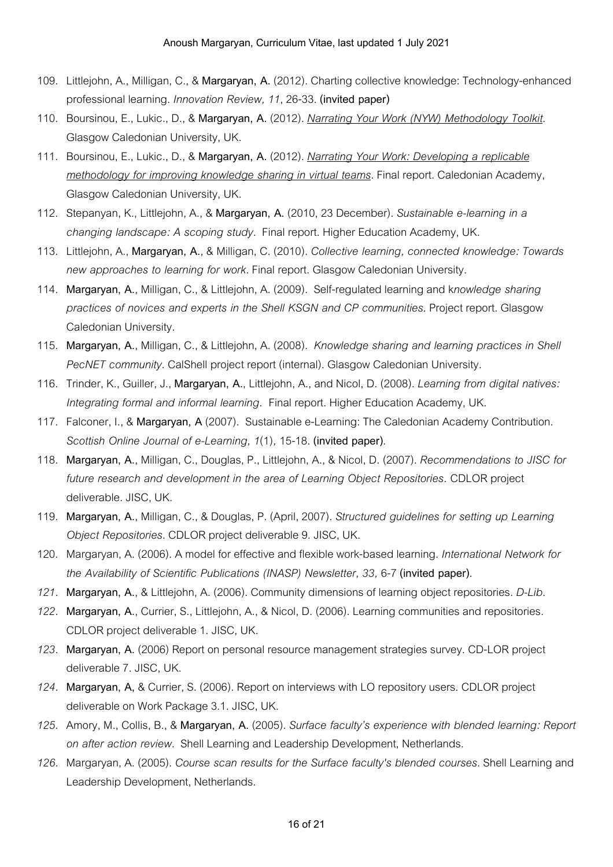- 109. Littlejohn, A., Milligan, C., & **Margaryan, A.** (2012). Charting collectiveknowledge:Technology-enhanced professional learning. *Innovation Review, 11*,26-33. **(invited paper)**
- 110. Boursinou, E.,Lukic., D., & **Margaryan, A.** (2012). *Narrating Your Work (NYW) Methodology Toolkit*. Glasgow Caledonian University, UK.
- 111. Boursinou, E.,Lukic., D., & **Margaryan, A.** (2012). *Narrating Your Work: Developing a replicable methodology for improving knowledge sharing in virtual teams.*Final report. Caledonian Academy, Glasgow Caledonian University, UK.
- 112. Stepanyan, K.,Littlejohn, A., & **Margaryan, A.** (2010,23 December). *Sustainable e-learning in a changing landscape: A scoping study.* Final report. Higher Education Academy, UK.
- 113. Littlejohn, A., **Margaryan, A.**, & Milligan, C. (2010). *Collective learning, connected knowledge: Towards new approaches to learning for work.*Final report. Glasgow Caledonian University.
- 114. **Margaryan, A.**, Milligan, C., & Littlejohn, A. (2009). Self-regulated learning and k*nowledge sharing practices of novices and experts in the Shell KSGN and CP communities*. Project report. Glasgow Caledonian University.
- 115. **Margaryan, A.**, Milligan, C., & Littlejohn, A. (2008). *Knowledge sharing and learning practices in Shell PecNET community*. CalShell project report (internal). Glasgow Caledonian University.
- 116. Trinder, K., Guiller, J., **Margaryan, A.**,Littlejohn, A.,and Nicol, D. (2008).*Learning from digital natives: Integrating formal and informal learning.* Final report. Higher Education Academy, UK.
- 117. Falconer, I., & Margaryan, A (2007). Sustainable e-Learning: The Caledonian Academy Contribution. *Scottish Online Journal of e-Learning, 1*(1)*,* 15-18. **(invited paper)**.
- 118. **Margaryan, A.**, Milligan, C., Douglas, P.,Littlejohn, A., & Nicol, D. (2007). *Recommendations to JISC for future research and development in the area of Learning Object Repositories.* CDLOR project deliverable. JISC, UK.
- 119. **Margaryan, A.**, Milligan, C., & Douglas, P. (April,2007). *Structured guidelines for setting up Learning Object Repositories*. CDLOR project deliverable9. JISC, UK.
- 120. Margaryan, A. (2006). A model foreffectiveand flexible work-based learning. *International Network for the Availability of Scientific Publications (INASP) Newsletter, 33,* 6-7**(invited paper)**.
- *121.* **Margaryan, A.**, & Littlejohn, A. (2006). Community dimensionsof learning object repositories. *D-Lib*.
- 122. Margaryan, A., Currier, S., Littlejohn, A., & Nicol, D. (2006). Learning communities and repositories. CDLOR project deliverable 1. JISC, UK.
- 123. Margaryan, A. (2006) Report on personal resource management strategies survey. CD-LOR project deliverable 7. JISC, UK.
- *124.* **Margaryan, A,** & Currier, S. (2006). Reportoninterviews withLO repositoryusers. CDLOR project deliverable on Work Package 3.1. JISC, UK.
- *125.* Amory, M., Collis, B., & **Margaryan, A.** (2005). *Surface faculty's experience with blended learning: Report on after action review.* ShellLearning and Leadership Development, Netherlands.
- *126.* Margaryan, A. (2005). *Course scan results for the Surface faculty's blended courses*. ShellLearning and Leadership Development, Netherlands.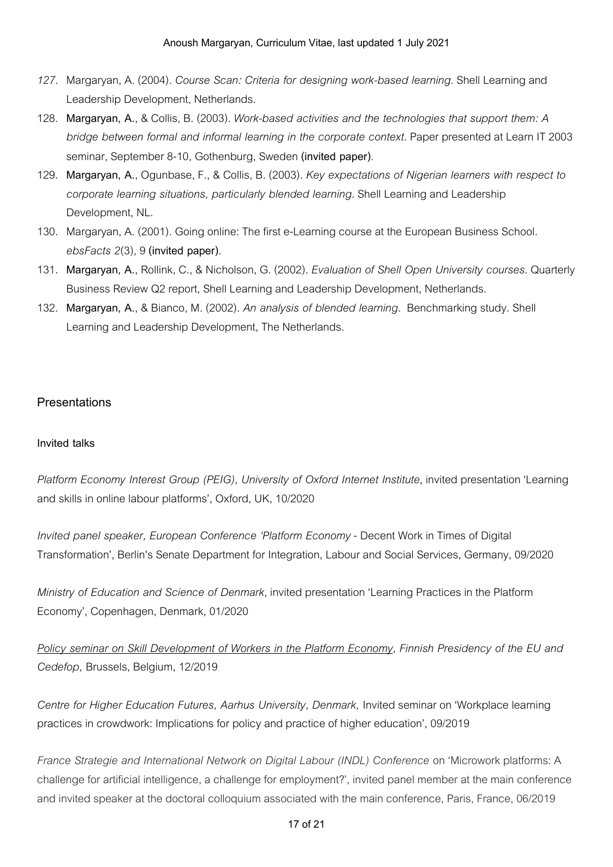#### Anoush Margaryan, Curriculum Vitae, last updated 1 July 2021

- *127.* Margaryan, A. (2004). *Course Scan: Criteria for designing work-based learning*. ShellLearning and Leadership Development, Netherlands.
- 128. **Margaryan, A.**, & Collis, B. (2003). *Work-based activities and the technologies that support them: A bridge between formal and informal learning in the corporate context*. Paper presented at Learn IT 2003 seminar, September8-10, Gothenburg, Sweden**(invited paper)**.
- 129. **Margaryan, A.**, Ogunbase,F., & Collis, B. (2003). *Key expectations of Nigerian learners with respect to corporate learning situations, particularly blended learning*. ShellLearning and Leadership Development, NL.
- 130. Margaryan, A. (2001). Going online: The first e-Learning course at the European Business School. *ebsFacts 2*(3),9**(invited paper)**.
- 131. **Margaryan, A.**, Rollink, C., & Nicholson, G. (2002). *Evaluation of Shell Open University courses*. Quarterly Business Review Q2 report, Shell Learning and Leadership Development, Netherlands.
- 132. **Margaryan, A.**, & Bianco, M. (2002). *An analysis of blended learning*. Benchmarking study. Shell Learning and Leadership Development. The Netherlands.

### **Presentations**

### **Invited talks**

*Platform Economy Interest Group (PEIG), University of Oxford Internet Institute*, invited presentation'Learning and skills in online labour platforms', Oxford, UK, 10/2020

*Invited panel speaker, European Conference 'Platform Economy* - Decent Work in Times of Digital Transformation', Berlin's Senate Department for Integration, Labour and Social Services, Germany, 09/2020

*Ministry of Education and Science of Denmark*, invited presentation'Learning Practices inthe Platform Economy', Copenhagen, Denmark,01/2020

*Policy seminar on Skill Development of Workers in the Platform Economy, Finnish Presidency of the EU and Cedefop,* Brussels, Belgium, 12/2019

*Centre for Higher Education Futures, Aarhus University, Denmark,* Invited seminar on 'Workplace learning practices in crowdwork: Implications for policy and practice of higher education', 09/2019

*France Strategie and International Network on Digital Labour (INDL) Conference* on 'Microwork platforms: A challenge for artificial intelligence, a challenge for employment?', invited panel member at the main conference and invited speaker at the doctoral colloquium associated with the main conference, Paris, France, 06/2019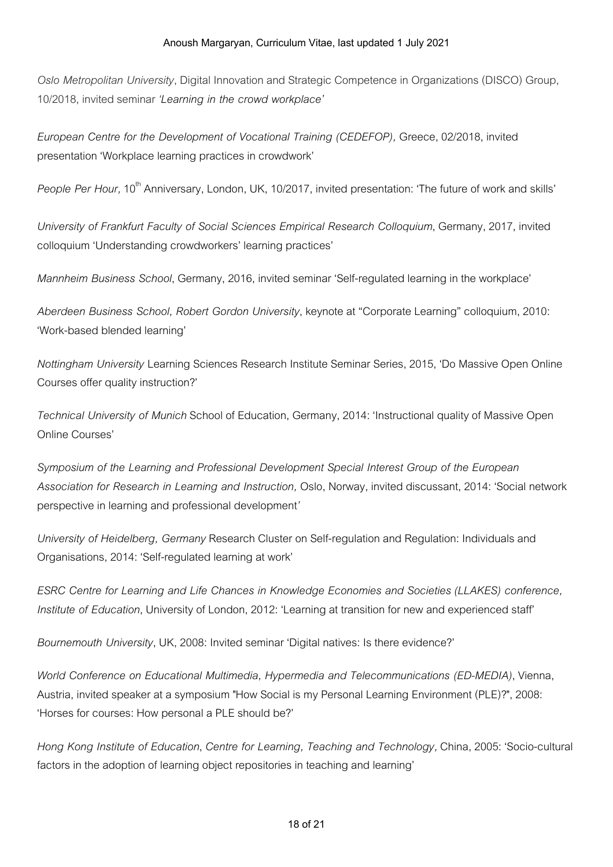*Oslo Metropolitan University*, Digital Innovation and Strategic Competence in Organizations (DISCO) Group, 10/2018, invited seminar *'Learning in the crowd workplace'*

*European Centre for the Development of Vocational Training (CEDEFOP),* Greece,02/2018, invited presentation 'Workplace learning practices in crowdwork'

*People Per Hour,* 10<sup>th</sup> Anniversary, London, UK, 10/2017, invited presentation: 'The future of work and skills'

*University of Frankfurt Faculty of Social Sciences Empirical Research Colloquium*, Germany,2017, invited colloquium 'Understanding crowdworkers' learning practices'

*Mannheim Business School*, Germany,2016, invited seminar 'Self-regulated learning inthe workplace'

*Aberdeen Business School, Robert Gordon University*, keynoteat "CorporateLearning"colloquium,2010: 'Work-based blended learning'

*Nottingham University* Learning Sciences Research Institute Seminar Series, 2015, 'Do Massive Open Online Courses offer quality instruction?'

*Technical University of Munich* Schoolof Education, Germany,2014: 'Instructional qualityof Massive Open Online Courses'

*Symposium of the Learning and Professional Development Special Interest Group of the European Association for Research in Learning and Instruction,* Oslo, Norway, invited discussant,2014: 'Socialnetwork perspective in learning and professional development<sup>'</sup>

*University* of *Heidelberg, Germany* Research Cluster on Self-regulation and Regulation: Individuals and Organisations,2014: 'Self-regulated learning at work'

*ESRC Centre for Learning and Life Chances in Knowledge Economies and Societies (LLAKES) conference, Institute* of *Education*, University of London, 2012: 'Learning at transition for new and experienced staff'

*Bournemouth University*, UK, 2008: Invited seminar 'Digital natives: Is there evidence?'

*World Conference on Educational Multimedia, Hypermedia and Telecommunications (ED-MEDIA)*, Vienna, Austria, invited speaker at a symposium "How Social is my Personal Learning Environment (PLE)?", 2008: 'Horses for courses: How personal a PLE should be?'

*Hong Kong Institute of Education*, *Centre for Learning, Teaching and Technology,* China,2005: 'Socio-cultural factors in the adoption of learning object repositories in teaching and learning'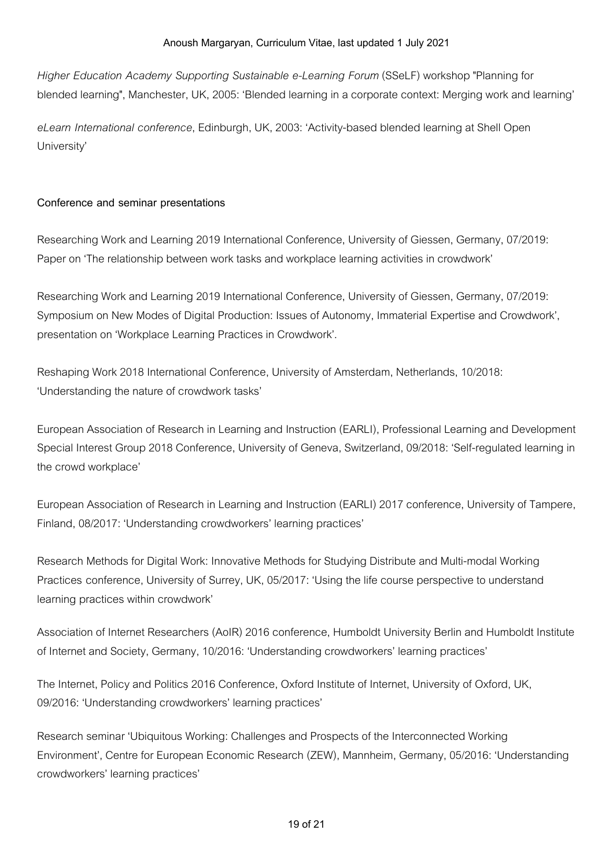*Higher Education Academy Supporting Sustainable e-Learning Forum* (SSeLF) workshop "Planning for blended learning", Manchester, UK, 2005: 'Blended learning in a corporate context: Merging work and learning'

*eLearn International conference*, Edinburgh, UK,2003: 'Activity-based blended learning at Shell Open University'

### **Conference and seminar presentations**

Researching Work and Learning 2019 International Conference, University of Giessen, Germany, 07/2019: Paper on 'The relationship between work tasks and workplace learning activities in crowdwork'

Researching Work and Learning 2019 International Conference, University of Giessen, Germany, 07/2019: Symposium on New Modes of Digital Production: Issues of Autonomy, Immaterial Expertise and Crowdwork', presentation on 'Workplace Learning Practices in Crowdwork'.

Reshaping Work 2018 International Conference, University of Amsterdam, Netherlands, 10/2018: 'Understanding the nature of crowdwork tasks'

European Association of Research in Learning and Instruction (EARLI), Professional Learning and Development Special Interest Group 2018 Conference, Universityof Geneva, Switzerland,09/2018: 'Self-regulated learning in the crowd workplace'

European Association of Research in Learning and Instruction (EARLI) 2017 conference, University of Tampere, Finland,08/2017: 'Understanding crowdworkers' learning practices'

Research Methods for Digital Work: Innovative Methods for Studying Distribute and Multi-modal Working Practices conference, University of Surrey, UK, 05/2017: 'Using the life course perspective to understand learning practices within crowdwork'

Association of Internet Researchers (AoIR) 2016 conference, Humboldt University Berlin and Humboldt Institute of Internet and Society, Germany, 10/2016: 'Understanding crowdworkers' learning practices'

The Internet, Policy and Politics 2016 Conference, Oxford Institute of Internet, University of Oxford, UK, 09/2016: 'Understanding crowdworkers' learning practices'

Research seminar 'Ubiquitous Working: Challenges and Prospects of the Interconnected Working Environment', Centre for European Economic Research (ZEW), Mannheim, Germany, 05/2016: 'Understanding crowdworkers' learning practices'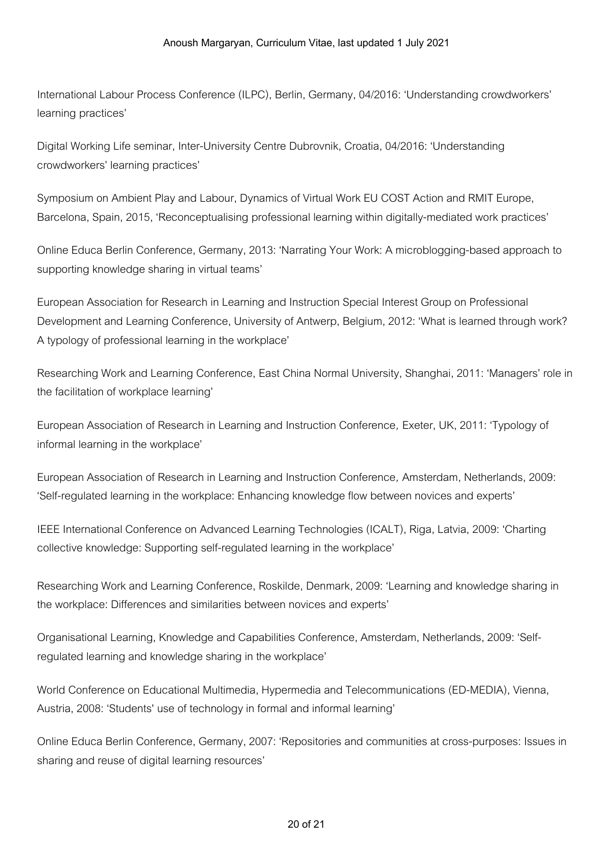International Labour Process Conference (ILPC), Berlin, Germany, 04/2016: 'Understanding crowdworkers' learning practices'

Digital Working Life seminar, Inter-University Centre Dubrovnik, Croatia, 04/2016: 'Understanding crowdworkers' learning practices'

Symposium on Ambient Play and Labour, Dynamics of Virtual Work EU COST Action and RMIT Europe, Barcelona, Spain, 2015, 'Reconceptualising professional learning within digitally-mediated work practices'

Online Educa Berlin Conference, Germany,2013: 'Narrating Your Work: A microblogging-based approachto supporting knowledge sharing in virtual teams'

European Association for Research in Learning and Instruction Special Interest Group on Professional Development and Learning Conference, University of Antwerp, Belgium, 2012: 'What is learned through work? A typology of professional learning in the workplace'

Researching Workand Learning Conference, East China Normal University, Shanghai,2011: 'Managers' rolein the facilitation of workplace learning'

European Association of Research in Learning and Instruction Conference, Exeter, UK, 2011: 'Typology of informal learning in the workplace'

European Association of Research in Learning and Instruction Conference, Amsterdam, Netherlands, 2009: 'Self-regulated learning in the workplace: Enhancing knowledge flow between novices and experts'

IEEE International Conference on Advanced Learning Technologies (ICALT), Riga, Latvia, 2009: 'Charting collective knowledge: Supporting self-regulated learning in the workplace'

Researching Work and Learning Conference, Roskilde, Denmark, 2009: 'Learning and knowledge sharing in the workplace: Differences and similarities between novices and experts'

OrganisationalLearning, Knowledgeand Capabilities Conference, Amsterdam, Netherlands,2009: 'Selfregulated learning and knowledge sharing in the workplace'

World Conference on Educational Multimedia, Hypermedia and Telecommunications (ED-MEDIA), Vienna, Austria, 2008: 'Students' use of technology in formal and informal learning'

Online Educa Berlin Conference, Germany, 2007: 'Repositories and communities at cross-purposes: Issues in sharing and reuse of digital learning resources'